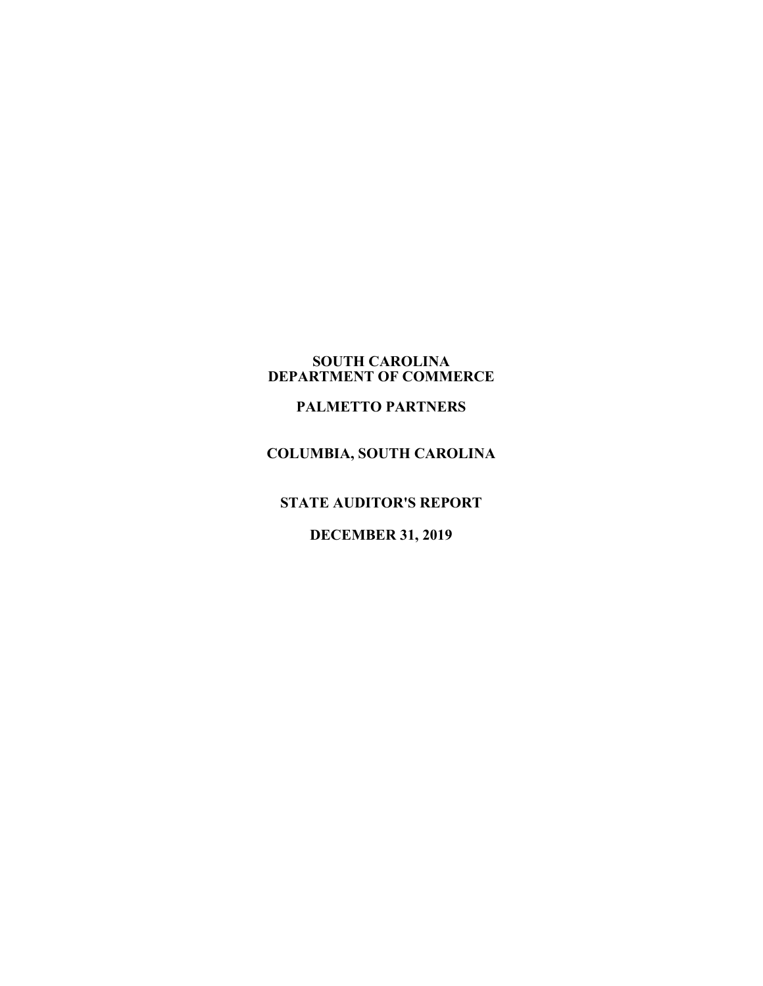#### **SOUTH CAROLINA DEPARTMENT OF COMMERCE**

# **PALMETTO PARTNERS**

# **COLUMBIA, SOUTH CAROLINA**

**STATE AUDITOR'S REPORT**

## **DECEMBER 31, 2019**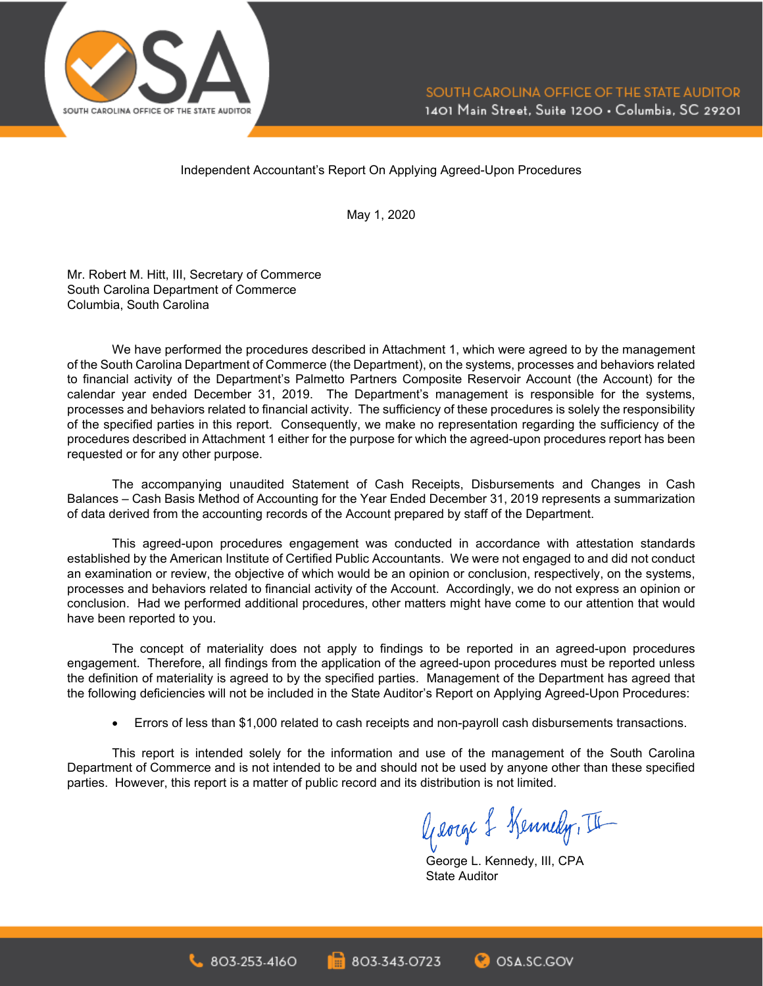

Independent Accountant's Report On Applying Agreed-Upon Procedures

May 1, 2020

Mr. Robert M. Hitt, III, Secretary of Commerce South Carolina Department of Commerce Columbia, South Carolina

We have performed the procedures described in Attachment 1, which were agreed to by the management of the South Carolina Department of Commerce (the Department), on the systems, processes and behaviors related to financial activity of the Department's Palmetto Partners Composite Reservoir Account (the Account) for the calendar year ended December 31, 2019. The Department's management is responsible for the systems, processes and behaviors related to financial activity. The sufficiency of these procedures is solely the responsibility of the specified parties in this report. Consequently, we make no representation regarding the sufficiency of the procedures described in Attachment 1 either for the purpose for which the agreed-upon procedures report has been requested or for any other purpose.

The accompanying unaudited Statement of Cash Receipts, Disbursements and Changes in Cash Balances – Cash Basis Method of Accounting for the Year Ended December 31, 2019 represents a summarization of data derived from the accounting records of the Account prepared by staff of the Department.

This agreed-upon procedures engagement was conducted in accordance with attestation standards established by the American Institute of Certified Public Accountants. We were not engaged to and did not conduct an examination or review, the objective of which would be an opinion or conclusion, respectively, on the systems, processes and behaviors related to financial activity of the Account. Accordingly, we do not express an opinion or conclusion. Had we performed additional procedures, other matters might have come to our attention that would have been reported to you.

The concept of materiality does not apply to findings to be reported in an agreed-upon procedures engagement. Therefore, all findings from the application of the agreed-upon procedures must be reported unless the definition of materiality is agreed to by the specified parties. Management of the Department has agreed that the following deficiencies will not be included in the State Auditor's Report on Applying Agreed-Upon Procedures:

• Errors of less than \$1,000 related to cash receipts and non-payroll cash disbursements transactions.

This report is intended solely for the information and use of the management of the South Carolina Department of Commerce and is not intended to be and should not be used by anyone other than these specified parties. However, this report is a matter of public record and its distribution is not limited.

George & Kennedy, II

George L. Kennedy, III, CPA State Auditor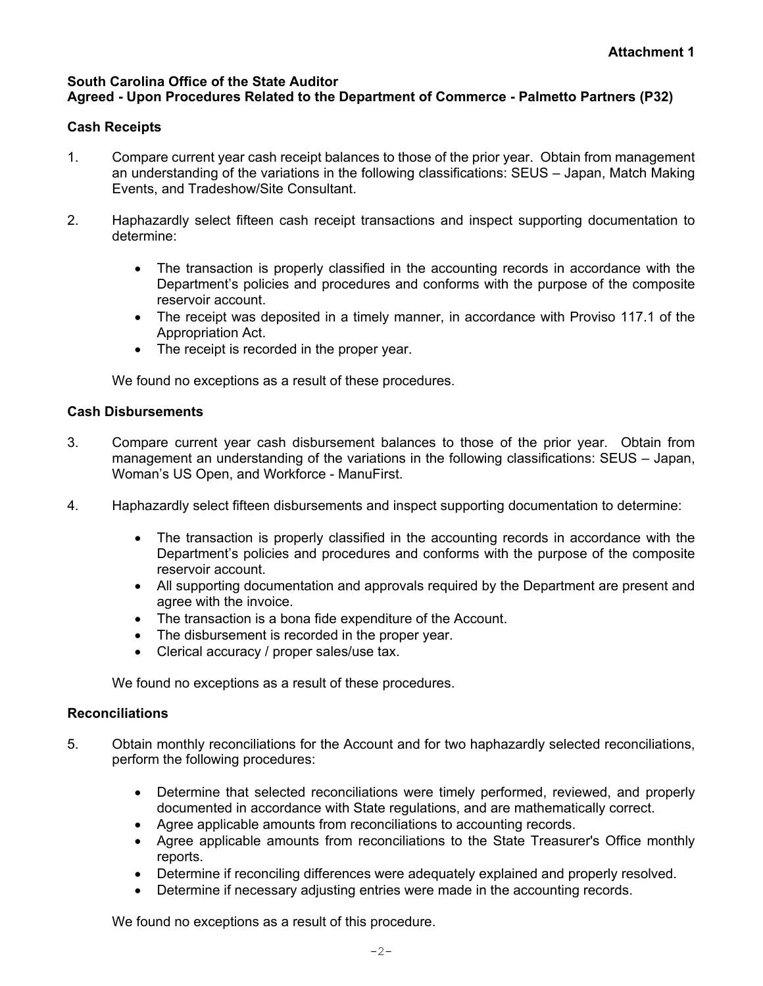#### **South Carolina Office of the State Auditor Agreed - Upon Procedures Related to the Department of Commerce - Palmetto Partners (P32)**

### **Cash Receipts**

- 1. Compare current year cash receipt balances to those of the prior year. Obtain from management an understanding of the variations in the following classifications: SEUS – Japan, Match Making Events, and Tradeshow/Site Consultant.
- 2. Haphazardly select fifteen cash receipt transactions and inspect supporting documentation to determine:
	- The transaction is properly classified in the accounting records in accordance with the Department's policies and procedures and conforms with the purpose of the composite reservoir account.
	- The receipt was deposited in a timely manner, in accordance with Proviso 117.1 of the Appropriation Act.
	- The receipt is recorded in the proper year.

We found no exceptions as a result of these procedures.

#### **Cash Disbursements**

- 3. Compare current year cash disbursement balances to those of the prior year. Obtain from management an understanding of the variations in the following classifications: SEUS – Japan, Woman's US Open, and Workforce - ManuFirst.
- 4. Haphazardly select fifteen disbursements and inspect supporting documentation to determine:
	- The transaction is properly classified in the accounting records in accordance with the Department's policies and procedures and conforms with the purpose of the composite reservoir account.
	- All supporting documentation and approvals required by the Department are present and agree with the invoice.
	- The transaction is a bona fide expenditure of the Account.
	- The disbursement is recorded in the proper year.
	- Clerical accuracy / proper sales/use tax.

We found no exceptions as a result of these procedures.

## **Reconciliations**

- 5. Obtain monthly reconciliations for the Account and for two haphazardly selected reconciliations, perform the following procedures:
	- Determine that selected reconciliations were timely performed, reviewed, and properly documented in accordance with State regulations, and are mathematically correct.
	- Agree applicable amounts from reconciliations to accounting records.
	- Agree applicable amounts from reconciliations to the State Treasurer's Office monthly reports.
	- Determine if reconciling differences were adequately explained and properly resolved.
	- Determine if necessary adjusting entries were made in the accounting records.

We found no exceptions as a result of this procedure.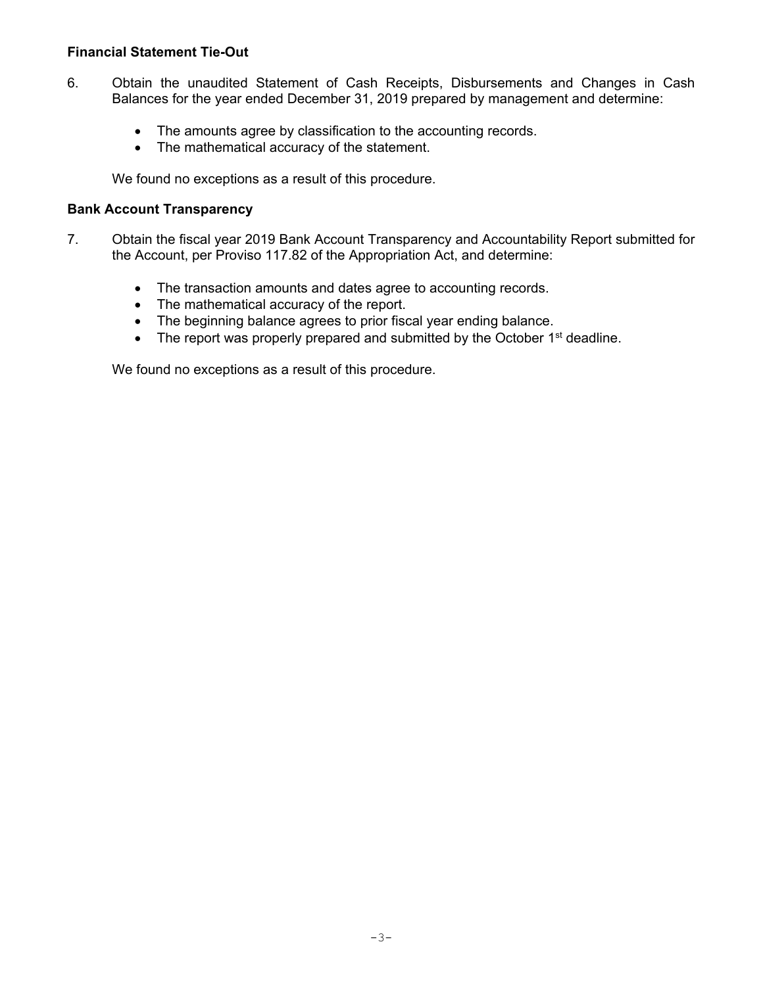#### **Financial Statement Tie-Out**

- 6. Obtain the unaudited Statement of Cash Receipts, Disbursements and Changes in Cash Balances for the year ended December 31, 2019 prepared by management and determine:
	- The amounts agree by classification to the accounting records.
	- The mathematical accuracy of the statement.

We found no exceptions as a result of this procedure.

#### **Bank Account Transparency**

- 7. Obtain the fiscal year 2019 Bank Account Transparency and Accountability Report submitted for the Account, per Proviso 117.82 of the Appropriation Act, and determine:
	- The transaction amounts and dates agree to accounting records.
	- The mathematical accuracy of the report.
	- The beginning balance agrees to prior fiscal year ending balance.
	- The report was properly prepared and submitted by the October  $1<sup>st</sup>$  deadline.

We found no exceptions as a result of this procedure.